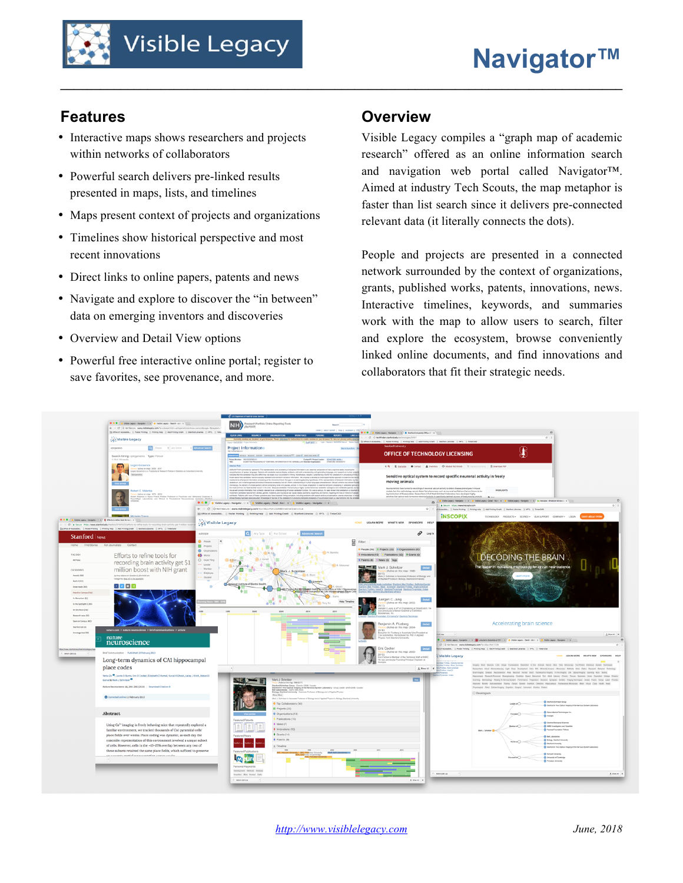## **Features**

- Interactive maps shows researchers and projects within networks of collaborators
- Powerful search delivers pre-linked results presented in maps, lists, and timelines
- Maps present context of projects and organizations
- Timelines show historical perspective and most recent innovations
- Direct links to online papers, patents and news
- Navigate and explore to discover the "in between" data on emerging inventors and discoveries
- Overview and Detail View options
- Powerful free interactive online portal; register to save favorites, see provenance, and more.

## **Overview**

**\_\_\_\_\_\_\_\_\_\_\_\_\_\_\_\_\_\_\_\_\_\_\_\_\_\_\_\_\_\_\_\_\_\_\_\_\_\_\_\_\_\_\_\_\_\_\_\_\_\_\_\_\_\_\_\_\_\_\_\_\_\_\_\_\_\_\_\_\_\_\_\_\_\_\_\_\_\_\_\_\_\_\_\_**

Visible Legacy compiles a "graph map of academic research" offered as an online information search and navigation web portal called Navigator™. Aimed at industry Tech Scouts, the map metaphor is faster than list search since it delivers pre-connected relevant data (it literally connects the dots).

People and projects are presented in a connected network surrounded by the context of organizations, grants, published works, patents, innovations, news. Interactive timelines, keywords, and summaries work with the map to allow users to search, filter and explore the ecosystem, browse conveniently linked online documents, and find innovations and collaborators that fit their strategic needs.